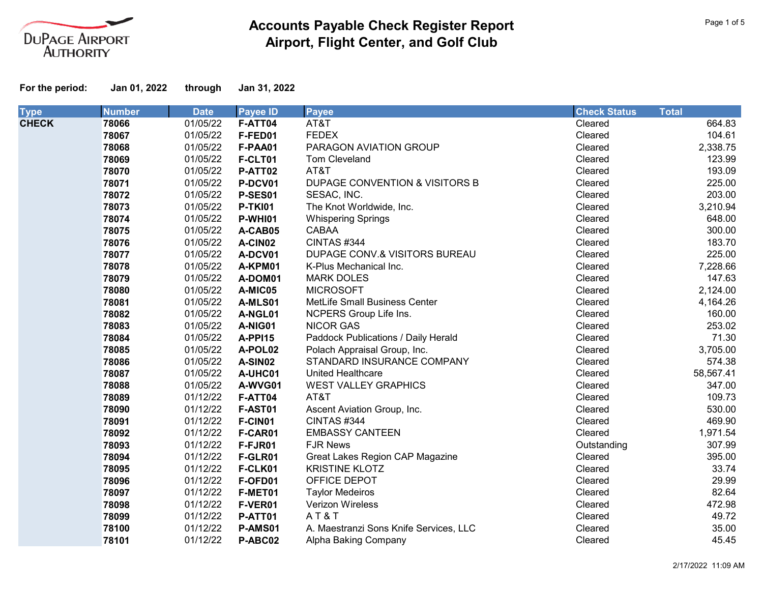

| <b>Type</b>  | <b>Number</b> | <b>Date</b> | <b>Payee ID</b> | <b>Payee</b>                           | <b>Check Status</b> | <b>Total</b> |
|--------------|---------------|-------------|-----------------|----------------------------------------|---------------------|--------------|
| <b>CHECK</b> | 78066         | 01/05/22    | F-ATT04         | AT&T                                   | Cleared             | 664.83       |
|              | 78067         | 01/05/22    | F-FED01         | <b>FEDEX</b>                           | Cleared             | 104.61       |
|              | 78068         | 01/05/22    | F-PAA01         | PARAGON AVIATION GROUP                 | Cleared             | 2,338.75     |
|              | 78069         | 01/05/22    | F-CLT01         | Tom Cleveland                          | Cleared             | 123.99       |
|              | 78070         | 01/05/22    | P-ATT02         | AT&T                                   | Cleared             | 193.09       |
|              | 78071         | 01/05/22    | P-DCV01         | DUPAGE CONVENTION & VISITORS B         | Cleared             | 225.00       |
|              | 78072         | 01/05/22    | P-SES01         | SESAC, INC.                            | Cleared             | 203.00       |
|              | 78073         | 01/05/22    | <b>P-TKI01</b>  | The Knot Worldwide, Inc.               | Cleared             | 3,210.94     |
|              | 78074         | 01/05/22    | P-WHI01         | <b>Whispering Springs</b>              | Cleared             | 648.00       |
|              | 78075         | 01/05/22    | A-CAB05         | CABAA                                  | Cleared             | 300.00       |
|              | 78076         | 01/05/22    | A-CIN02         | CINTAS #344                            | Cleared             | 183.70       |
|              | 78077         | 01/05/22    | A-DCV01         | DUPAGE CONV.& VISITORS BUREAU          | Cleared             | 225.00       |
|              | 78078         | 01/05/22    | A-KPM01         | K-Plus Mechanical Inc.                 | Cleared             | 7,228.66     |
|              | 78079         | 01/05/22    | A-DOM01         | <b>MARK DOLES</b>                      | Cleared             | 147.63       |
|              | 78080         | 01/05/22    | A-MIC05         | <b>MICROSOFT</b>                       | Cleared             | 2,124.00     |
|              | 78081         | 01/05/22    | A-MLS01         | MetLife Small Business Center          | Cleared             | 4,164.26     |
|              | 78082         | 01/05/22    | A-NGL01         | NCPERS Group Life Ins.                 | Cleared             | 160.00       |
|              | 78083         | 01/05/22    | A-NIG01         | <b>NICOR GAS</b>                       | Cleared             | 253.02       |
|              | 78084         | 01/05/22    | A-PPI15         | Paddock Publications / Daily Herald    | Cleared             | 71.30        |
|              | 78085         | 01/05/22    | A-POL02         | Polach Appraisal Group, Inc.           | Cleared             | 3,705.00     |
|              | 78086         | 01/05/22    | A-SIN02         | STANDARD INSURANCE COMPANY             | Cleared             | 574.38       |
|              | 78087         | 01/05/22    | A-UHC01         | <b>United Healthcare</b>               | Cleared             | 58,567.41    |
|              | 78088         | 01/05/22    | A-WVG01         | <b>WEST VALLEY GRAPHICS</b>            | Cleared             | 347.00       |
|              | 78089         | 01/12/22    | F-ATT04         | AT&T                                   | Cleared             | 109.73       |
|              | 78090         | 01/12/22    | <b>F-AST01</b>  | Ascent Aviation Group, Inc.            | Cleared             | 530.00       |
|              | 78091         | 01/12/22    | F-CIN01         | CINTAS #344                            | Cleared             | 469.90       |
|              | 78092         | 01/12/22    | F-CAR01         | <b>EMBASSY CANTEEN</b>                 | Cleared             | 1,971.54     |
|              | 78093         | 01/12/22    | F-FJR01         | <b>FJR News</b>                        | Outstanding         | 307.99       |
|              | 78094         | 01/12/22    | F-GLR01         | Great Lakes Region CAP Magazine        | Cleared             | 395.00       |
|              | 78095         | 01/12/22    | F-CLK01         | <b>KRISTINE KLOTZ</b>                  | Cleared             | 33.74        |
|              | 78096         | 01/12/22    | F-OFD01         | OFFICE DEPOT                           | Cleared             | 29.99        |
|              | 78097         | 01/12/22    | F-MET01         | <b>Taylor Medeiros</b>                 | Cleared             | 82.64        |
|              | 78098         | 01/12/22    | F-VER01         | Verizon Wireless                       | Cleared             | 472.98       |
|              | 78099         | 01/12/22    | P-ATT01         | AT&T                                   | Cleared             | 49.72        |
|              | 78100         | 01/12/22    | P-AMS01         | A. Maestranzi Sons Knife Services, LLC | Cleared             | 35.00        |
|              | 78101         | 01/12/22    | P-ABC02         | Alpha Baking Company                   | Cleared             | 45.45        |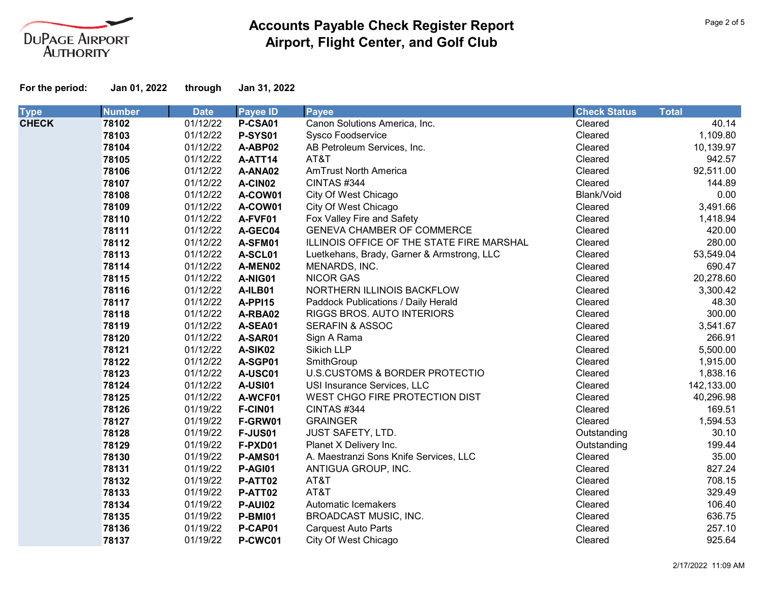

| <b>Type</b>  | <b>Number</b> | <b>Date</b> | <b>Payee ID</b> | <b>Payee</b>                               | <b>Check Status</b> | <b>Total</b> |
|--------------|---------------|-------------|-----------------|--------------------------------------------|---------------------|--------------|
| <b>CHECK</b> | 78102         | 01/12/22    | P-CSA01         | Canon Solutions America, Inc.              | Cleared             | 40.14        |
|              | 78103         | 01/12/22    | <b>P-SYS01</b>  | Sysco Foodservice                          | Cleared             | 1,109.80     |
|              | 78104         | 01/12/22    | A-ABP02         | AB Petroleum Services, Inc.                | Cleared             | 10,139.97    |
|              | 78105         | 01/12/22    | A-ATT14         | AT&T                                       | Cleared             | 942.57       |
|              | 78106         | 01/12/22    | A-ANA02         | <b>AmTrust North America</b>               | Cleared             | 92,511.00    |
|              | 78107         | 01/12/22    | A-CIN02         | CINTAS#344                                 | Cleared             | 144.89       |
|              | 78108         | 01/12/22    | A-COW01         | City Of West Chicago                       | Blank/Void          | 0.00         |
|              | 78109         | 01/12/22    | A-COW01         | City Of West Chicago                       | Cleared             | 3,491.66     |
|              | 78110         | 01/12/22    | A-FVF01         | Fox Valley Fire and Safety                 | Cleared             | 1,418.94     |
|              | 78111         | 01/12/22    | A-GEC04         | <b>GENEVA CHAMBER OF COMMERCE</b>          | Cleared             | 420.00       |
|              | 78112         | 01/12/22    | A-SFM01         | ILLINOIS OFFICE OF THE STATE FIRE MARSHAL  | Cleared             | 280.00       |
|              | 78113         | 01/12/22    | A-SCL01         | Luetkehans, Brady, Garner & Armstrong, LLC | Cleared             | 53,549.04    |
|              | 78114         | 01/12/22    | A-MEN02         | MENARDS, INC.                              | Cleared             | 690.47       |
|              | 78115         | 01/12/22    | A-NIG01         | <b>NICOR GAS</b>                           | Cleared             | 20,278.60    |
|              | 78116         | 01/12/22    | A-ILB01         | NORTHERN ILLINOIS BACKFLOW                 | Cleared             | 3,300.42     |
|              | 78117         | 01/12/22    | A-PPI15         | Paddock Publications / Daily Herald        | Cleared             | 48.30        |
|              | 78118         | 01/12/22    | A-RBA02         | RIGGS BROS. AUTO INTERIORS                 | Cleared             | 300.00       |
|              | 78119         | 01/12/22    | A-SEA01         | <b>SERAFIN &amp; ASSOC</b>                 | Cleared             | 3,541.67     |
|              | 78120         | 01/12/22    | A-SAR01         | Sign A Rama                                | Cleared             | 266.91       |
|              | 78121         | 01/12/22    | A-SIK02         | <b>Sikich LLP</b>                          | Cleared             | 5,500.00     |
|              | 78122         | 01/12/22    | A-SGP01         | SmithGroup                                 | Cleared             | 1,915.00     |
|              | 78123         | 01/12/22    | A-USC01         | U.S.CUSTOMS & BORDER PROTECTIO             | Cleared             | 1,838.16     |
|              | 78124         | 01/12/22    | <b>A-USI01</b>  | USI Insurance Services, LLC                | Cleared             | 142,133.00   |
|              | 78125         | 01/12/22    | A-WCF01         | WEST CHGO FIRE PROTECTION DIST             | Cleared             | 40,296.98    |
|              | 78126         | 01/19/22    | F-CIN01         | CINTAS#344                                 | Cleared             | 169.51       |
|              | 78127         | 01/19/22    | F-GRW01         | <b>GRAINGER</b>                            | Cleared             | 1,594.53     |
|              | 78128         | 01/19/22    | <b>F-JUS01</b>  | <b>JUST SAFETY, LTD.</b>                   | Outstanding         | 30.10        |
|              | 78129         | 01/19/22    | F-PXD01         | Planet X Delivery Inc.                     | Outstanding         | 199.44       |
|              | 78130         | 01/19/22    | P-AMS01         | A. Maestranzi Sons Knife Services, LLC     | Cleared             | 35.00        |
|              | 78131         | 01/19/22    | <b>P-AG101</b>  | ANTIGUA GROUP, INC.                        | Cleared             | 827.24       |
|              | 78132         | 01/19/22    | P-ATT02         | AT&T                                       | Cleared             | 708.15       |
|              | 78133         | 01/19/22    | P-ATT02         | AT&T                                       | Cleared             | 329.49       |
|              | 78134         | 01/19/22    | <b>P-AUI02</b>  | Automatic Icemakers                        | Cleared             | 106.40       |
|              | 78135         | 01/19/22    | <b>P-BMI01</b>  | <b>BROADCAST MUSIC, INC.</b>               | Cleared             | 636.75       |
|              | 78136         | 01/19/22    | P-CAP01         | <b>Carquest Auto Parts</b>                 | Cleared             | 257.10       |
|              | 78137         | 01/19/22    | P-CWC01         | City Of West Chicago                       | Cleared             | 925.64       |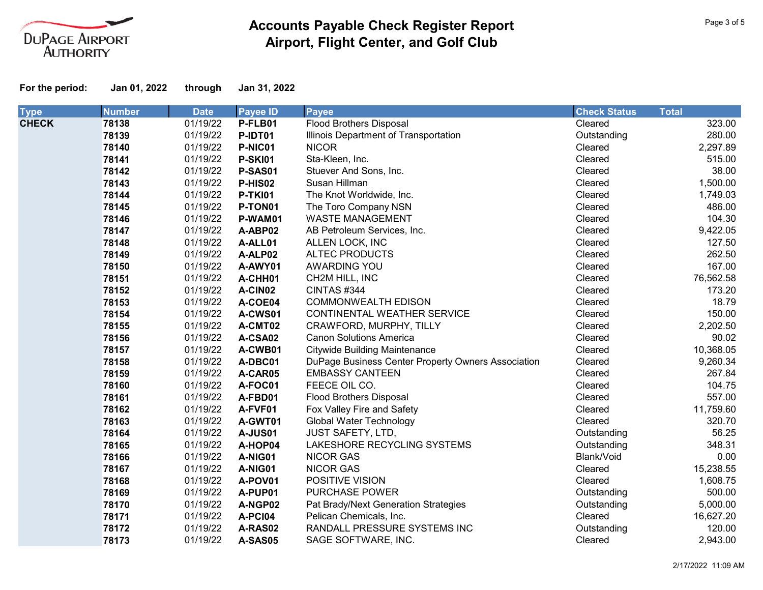

| <b>Type</b>  | <b>Number</b> | <b>Date</b> | <b>Payee ID</b> | <b>Payee</b>                                       | <b>Check Status</b> | <b>Total</b> |
|--------------|---------------|-------------|-----------------|----------------------------------------------------|---------------------|--------------|
| <b>CHECK</b> | 78138         | 01/19/22    | P-FLB01         | <b>Flood Brothers Disposal</b>                     | Cleared             | 323.00       |
|              | 78139         | 01/19/22    | P-IDT01         | Illinois Department of Transportation              | Outstanding         | 280.00       |
|              | 78140         | 01/19/22    | P-NIC01         | <b>NICOR</b>                                       | Cleared             | 2,297.89     |
|              | 78141         | 01/19/22    | <b>P-SKI01</b>  | Sta-Kleen, Inc.                                    | Cleared             | 515.00       |
|              | 78142         | 01/19/22    | P-SAS01         | Stuever And Sons, Inc.                             | Cleared             | 38.00        |
|              | 78143         | 01/19/22    | P-HIS02         | Susan Hillman                                      | Cleared             | 1,500.00     |
|              | 78144         | 01/19/22    | <b>P-TKI01</b>  | The Knot Worldwide, Inc.                           | Cleared             | 1,749.03     |
|              | 78145         | 01/19/22    | P-TON01         | The Toro Company NSN                               | Cleared             | 486.00       |
|              | 78146         | 01/19/22    | P-WAM01         | <b>WASTE MANAGEMENT</b>                            | Cleared             | 104.30       |
|              | 78147         | 01/19/22    | A-ABP02         | AB Petroleum Services, Inc.                        | Cleared             | 9,422.05     |
|              | 78148         | 01/19/22    | A-ALL01         | ALLEN LOCK, INC                                    | Cleared             | 127.50       |
|              | 78149         | 01/19/22    | A-ALP02         | <b>ALTEC PRODUCTS</b>                              | Cleared             | 262.50       |
|              | 78150         | 01/19/22    | A-AWY01         | AWARDING YOU                                       | Cleared             | 167.00       |
|              | 78151         | 01/19/22    | A-CHH01         | CH2M HILL, INC                                     | Cleared             | 76,562.58    |
|              | 78152         | 01/19/22    | A-CIN02         | CINTAS#344                                         | Cleared             | 173.20       |
|              | 78153         | 01/19/22    | A-COE04         | <b>COMMONWEALTH EDISON</b>                         | Cleared             | 18.79        |
|              | 78154         | 01/19/22    | A-CWS01         | CONTINENTAL WEATHER SERVICE                        | Cleared             | 150.00       |
|              | 78155         | 01/19/22    | A-CMT02         | CRAWFORD, MURPHY, TILLY                            | Cleared             | 2,202.50     |
|              | 78156         | 01/19/22    | A-CSA02         | <b>Canon Solutions America</b>                     | Cleared             | 90.02        |
|              | 78157         | 01/19/22    | A-CWB01         | <b>Citywide Building Maintenance</b>               | Cleared             | 10,368.05    |
|              | 78158         | 01/19/22    | A-DBC01         | DuPage Business Center Property Owners Association | Cleared             | 9,260.34     |
|              | 78159         | 01/19/22    | A-CAR05         | <b>EMBASSY CANTEEN</b>                             | Cleared             | 267.84       |
|              | 78160         | 01/19/22    | A-FOC01         | FEECE OIL CO.                                      | Cleared             | 104.75       |
|              | 78161         | 01/19/22    | A-FBD01         | <b>Flood Brothers Disposal</b>                     | Cleared             | 557.00       |
|              | 78162         | 01/19/22    | A-FVF01         | Fox Valley Fire and Safety                         | Cleared             | 11,759.60    |
|              | 78163         | 01/19/22    | A-GWT01         | <b>Global Water Technology</b>                     | Cleared             | 320.70       |
|              | 78164         | 01/19/22    | <b>A-JUS01</b>  | JUST SAFETY, LTD,                                  | Outstanding         | 56.25        |
|              | 78165         | 01/19/22    | A-HOP04         | LAKESHORE RECYCLING SYSTEMS                        | Outstanding         | 348.31       |
|              | 78166         | 01/19/22    | A-NIG01         | <b>NICOR GAS</b>                                   | Blank/Void          | 0.00         |
|              | 78167         | 01/19/22    | A-NIG01         | <b>NICOR GAS</b>                                   | Cleared             | 15,238.55    |
|              | 78168         | 01/19/22    | A-POV01         | POSITIVE VISION                                    | Cleared             | 1,608.75     |
|              | 78169         | 01/19/22    | A-PUP01         | <b>PURCHASE POWER</b>                              | Outstanding         | 500.00       |
|              | 78170         | 01/19/22    | A-NGP02         | Pat Brady/Next Generation Strategies               | Outstanding         | 5,000.00     |
|              | 78171         | 01/19/22    | A-PCI04         | Pelican Chemicals, Inc.                            | Cleared             | 16,627.20    |
|              | 78172         | 01/19/22    | A-RAS02         | RANDALL PRESSURE SYSTEMS INC                       | Outstanding         | 120.00       |
|              | 78173         | 01/19/22    | A-SAS05         | SAGE SOFTWARE, INC.                                | Cleared             | 2,943.00     |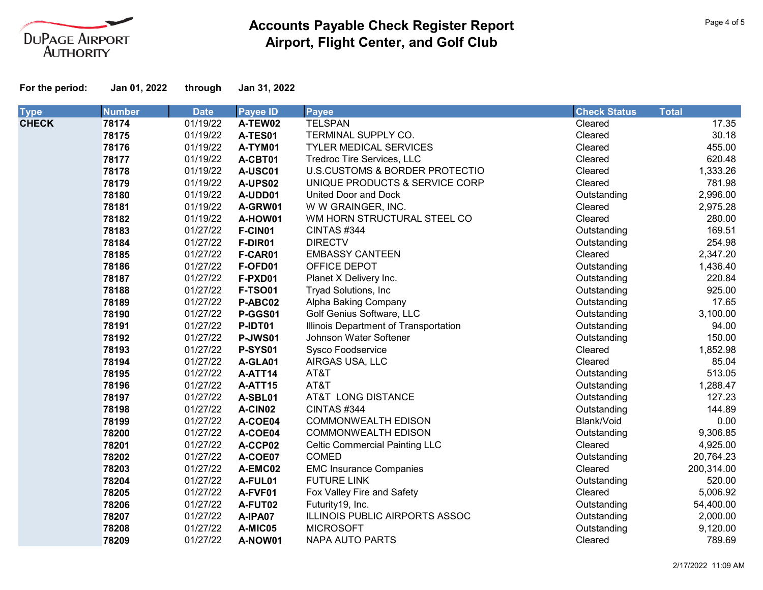

| <b>Type</b>  | <b>Number</b> | <b>Date</b> | <b>Payee ID</b> | <b>Payee</b>                          | <b>Check Status</b> | <b>Total</b> |
|--------------|---------------|-------------|-----------------|---------------------------------------|---------------------|--------------|
| <b>CHECK</b> | 78174         | 01/19/22    | A-TEW02         | <b>TELSPAN</b>                        | Cleared             | 17.35        |
|              | 78175         | 01/19/22    | A-TES01         | TERMINAL SUPPLY CO.                   | Cleared             | 30.18        |
|              | 78176         | 01/19/22    | A-TYM01         | <b>TYLER MEDICAL SERVICES</b>         | Cleared             | 455.00       |
|              | 78177         | 01/19/22    | A-CBT01         | Tredroc Tire Services, LLC            | Cleared             | 620.48       |
|              | 78178         | 01/19/22    | A-USC01         | U.S.CUSTOMS & BORDER PROTECTIO        | Cleared             | 1,333.26     |
|              | 78179         | 01/19/22    | A-UPS02         | UNIQUE PRODUCTS & SERVICE CORP        | Cleared             | 781.98       |
|              | 78180         | 01/19/22    | A-UDD01         | United Door and Dock                  | Outstanding         | 2,996.00     |
|              | 78181         | 01/19/22    | A-GRW01         | W W GRAINGER, INC.                    | Cleared             | 2,975.28     |
|              | 78182         | 01/19/22    | A-HOW01         | WM HORN STRUCTURAL STEEL CO           | Cleared             | 280.00       |
|              | 78183         | 01/27/22    | F-CIN01         | <b>CINTAS #344</b>                    | Outstanding         | 169.51       |
|              | 78184         | 01/27/22    | F-DIR01         | <b>DIRECTV</b>                        | Outstanding         | 254.98       |
|              | 78185         | 01/27/22    | F-CAR01         | <b>EMBASSY CANTEEN</b>                | Cleared             | 2,347.20     |
|              | 78186         | 01/27/22    | F-OFD01         | OFFICE DEPOT                          | Outstanding         | 1,436.40     |
|              | 78187         | 01/27/22    | F-PXD01         | Planet X Delivery Inc.                | Outstanding         | 220.84       |
|              | 78188         | 01/27/22    | <b>F-TSO01</b>  | Tryad Solutions, Inc                  | Outstanding         | 925.00       |
|              | 78189         | 01/27/22    | P-ABC02         | Alpha Baking Company                  | Outstanding         | 17.65        |
|              | 78190         | 01/27/22    | P-GGS01         | Golf Genius Software, LLC             | Outstanding         | 3,100.00     |
|              | 78191         | 01/27/22    | P-IDT01         | Illinois Department of Transportation | Outstanding         | 94.00        |
|              | 78192         | 01/27/22    | P-JWS01         | Johnson Water Softener                | Outstanding         | 150.00       |
|              | 78193         | 01/27/22    | <b>P-SYS01</b>  | <b>Sysco Foodservice</b>              | Cleared             | 1,852.98     |
|              | 78194         | 01/27/22    | A-GLA01         | AIRGAS USA, LLC                       | Cleared             | 85.04        |
|              | 78195         | 01/27/22    | A-ATT14         | AT&T                                  | Outstanding         | 513.05       |
|              | 78196         | 01/27/22    | A-ATT15         | AT&T                                  | Outstanding         | 1,288.47     |
|              | 78197         | 01/27/22    | A-SBL01         | AT&T LONG DISTANCE                    | Outstanding         | 127.23       |
|              | 78198         | 01/27/22    | A-CIN02         | <b>CINTAS #344</b>                    | Outstanding         | 144.89       |
|              | 78199         | 01/27/22    | A-COE04         | <b>COMMONWEALTH EDISON</b>            | Blank/Void          | 0.00         |
|              | 78200         | 01/27/22    | A-COE04         | <b>COMMONWEALTH EDISON</b>            | Outstanding         | 9,306.85     |
|              | 78201         | 01/27/22    | A-CCP02         | <b>Celtic Commercial Painting LLC</b> | Cleared             | 4,925.00     |
|              | 78202         | 01/27/22    | A-COE07         | <b>COMED</b>                          | Outstanding         | 20,764.23    |
|              | 78203         | 01/27/22    | A-EMC02         | <b>EMC Insurance Companies</b>        | Cleared             | 200,314.00   |
|              | 78204         | 01/27/22    | A-FUL01         | <b>FUTURE LINK</b>                    | Outstanding         | 520.00       |
|              | 78205         | 01/27/22    | A-FVF01         | Fox Valley Fire and Safety            | Cleared             | 5,006.92     |
|              | 78206         | 01/27/22    | A-FUT02         | Futurity19, Inc.                      | Outstanding         | 54,400.00    |
|              | 78207         | 01/27/22    | A-IPA07         | ILLINOIS PUBLIC AIRPORTS ASSOC        | Outstanding         | 2,000.00     |
|              | 78208         | 01/27/22    | A-MIC05         | <b>MICROSOFT</b>                      | Outstanding         | 9,120.00     |
|              | 78209         | 01/27/22    | A-NOW01         | <b>NAPA AUTO PARTS</b>                | Cleared             | 789.69       |